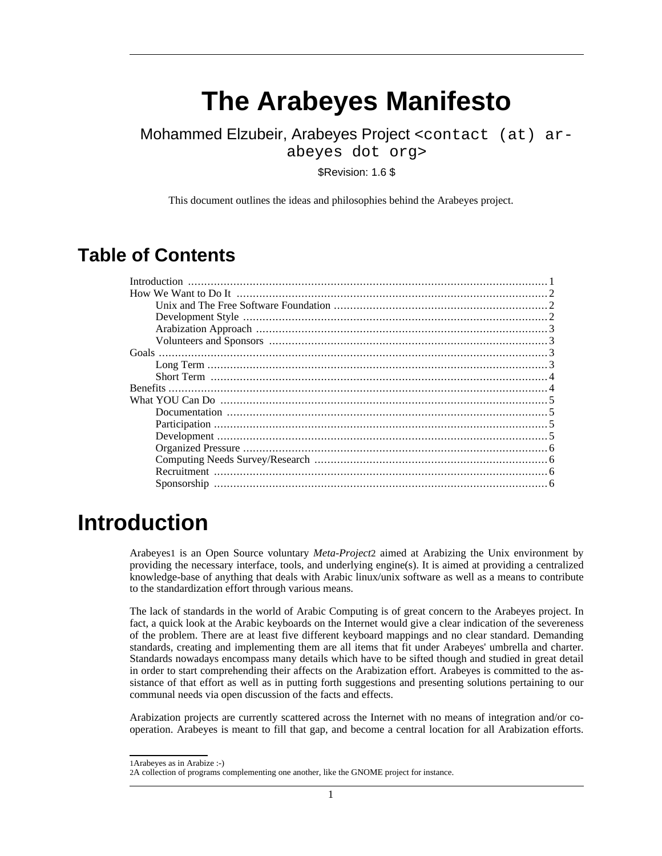# **The Arabeyes Manifesto**

Mohammed Elzubeir, Arabeyes Project <contact (at) arabeyes dot org>

\$Revision: 1.6 \$

This document outlines the ideas and philosophies behind the Arabeyes project.

#### **Table of Contents**

| How We Want to Do It $\ldots$ $\ldots$ $\ldots$ $\ldots$ $\ldots$ $\ldots$ $\ldots$ $\ldots$ $\ldots$ $\ldots$ $\ldots$ $\ldots$ $\ldots$ $\ldots$ $\ldots$ $\ldots$ $\ldots$ $\ldots$ $\ldots$ $\ldots$ $\ldots$ $\ldots$ $\ldots$ $\ldots$ $\ldots$ $\ldots$ $\ldots$ $\ldots$ $\ldots$ $\ldots$ $\ldots$ $\ldots$ $\ldots$ $\$ |  |
|-----------------------------------------------------------------------------------------------------------------------------------------------------------------------------------------------------------------------------------------------------------------------------------------------------------------------------------|--|
|                                                                                                                                                                                                                                                                                                                                   |  |
|                                                                                                                                                                                                                                                                                                                                   |  |
|                                                                                                                                                                                                                                                                                                                                   |  |
|                                                                                                                                                                                                                                                                                                                                   |  |
|                                                                                                                                                                                                                                                                                                                                   |  |
|                                                                                                                                                                                                                                                                                                                                   |  |
|                                                                                                                                                                                                                                                                                                                                   |  |
|                                                                                                                                                                                                                                                                                                                                   |  |
|                                                                                                                                                                                                                                                                                                                                   |  |
|                                                                                                                                                                                                                                                                                                                                   |  |
|                                                                                                                                                                                                                                                                                                                                   |  |
|                                                                                                                                                                                                                                                                                                                                   |  |
|                                                                                                                                                                                                                                                                                                                                   |  |
|                                                                                                                                                                                                                                                                                                                                   |  |
|                                                                                                                                                                                                                                                                                                                                   |  |
|                                                                                                                                                                                                                                                                                                                                   |  |
|                                                                                                                                                                                                                                                                                                                                   |  |

## <span id="page-0-0"></span>**Introduction**

Arabeyes1 is an Open Source voluntary *Meta-Project*2 aimed at Arabizing the Unix environment by providing the necessary interface, tools, and underlying engine(s). It is aimed at providing a centralized knowledge-base of anything that deals with Arabic linux/unix software as well as a means to contribute to the standardization effort through various means.

The lack of standards in the world of Arabic Computing is of great concern to the Arabeyes project. In fact, a quick look at the Arabic keyboards on the Internet would give a clear indication of the severeness of the problem. There are at least five different keyboard mappings and no clear standard. Demanding standards, creating and implementing them are all items that fit under Arabeyes' umbrella and charter. Standards nowadays encompass many details which have to be sifted though and studied in great detail in order to start comprehending their affects on the Arabization effort. Arabeyes is committed to the assistance of that effort as well as in putting forth suggestions and presenting solutions pertaining to our communal needs via open discussion of the facts and effects.

Arabization projects are currently scattered across the Internet with no means of integration and/or cooperation. Arabeyes is meant to fill that gap, and become a central location for all Arabization efforts.

<sup>1</sup>Arabeyes as in Arabize :-)

<sup>2</sup>A collection of programs complementing one another, like the GNOME project for instance.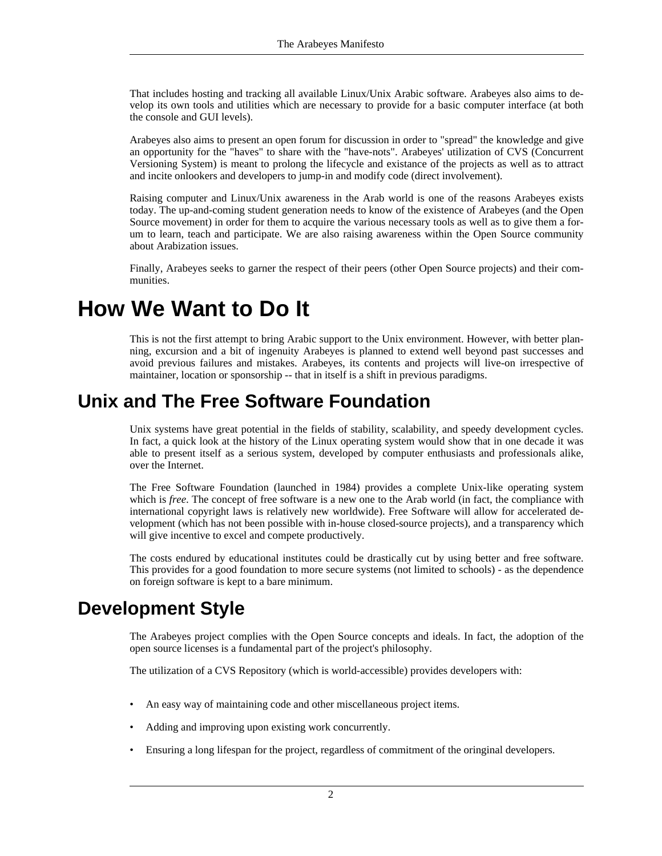That includes hosting and tracking all available Linux/Unix Arabic software. Arabeyes also aims to develop its own tools and utilities which are necessary to provide for a basic computer interface (at both the console and GUI levels).

Arabeyes also aims to present an open forum for discussion in order to "spread" the knowledge and give an opportunity for the "haves" to share with the "have-nots". Arabeyes' utilization of CVS (Concurrent Versioning System) is meant to prolong the lifecycle and existance of the projects as well as to attract and incite onlookers and developers to jump-in and modify code (direct involvement).

Raising computer and Linux/Unix awareness in the Arab world is one of the reasons Arabeyes exists today. The up-and-coming student generation needs to know of the existence of Arabeyes (and the Open Source movement) in order for them to acquire the various necessary tools as well as to give them a forum to learn, teach and participate. We are also raising awareness within the Open Source community about Arabization issues.

<span id="page-1-0"></span>Finally, Arabeyes seeks to garner the respect of their peers (other Open Source projects) and their communities.

## **How We Want to Do It**

<span id="page-1-1"></span>This is not the first attempt to bring Arabic support to the Unix environment. However, with better planning, excursion and a bit of ingenuity Arabeyes is planned to extend well beyond past successes and avoid previous failures and mistakes. Arabeyes, its contents and projects will live-on irrespective of maintainer, location or sponsorship -- that in itself is a shift in previous paradigms.

#### **Unix and The Free Software Foundation**

Unix systems have great potential in the fields of stability, scalability, and speedy development cycles. In fact, a quick look at the history of the Linux operating system would show that in one decade it was able to present itself as a serious system, developed by computer enthusiasts and professionals alike, over the Internet.

The Free Software Foundation (launched in 1984) provides a complete Unix-like operating system which is *free*. The concept of free software is a new one to the Arab world (in fact, the compliance with international copyright laws is relatively new worldwide). Free Software will allow for accelerated development (which has not been possible with in-house closed-source projects), and a transparency which will give incentive to excel and compete productively.

<span id="page-1-2"></span>The costs endured by educational institutes could be drastically cut by using better and free software. This provides for a good foundation to more secure systems (not limited to schools) - as the dependence on foreign software is kept to a bare minimum.

#### **Development Style**

The Arabeyes project complies with the Open Source concepts and ideals. In fact, the adoption of the open source licenses is a fundamental part of the project's philosophy.

The utilization of a CVS Repository (which is world-accessible) provides developers with:

- An easy way of maintaining code and other miscellaneous project items.
- Adding and improving upon existing work concurrently.
- Ensuring a long lifespan for the project, regardless of commitment of the oringinal developers.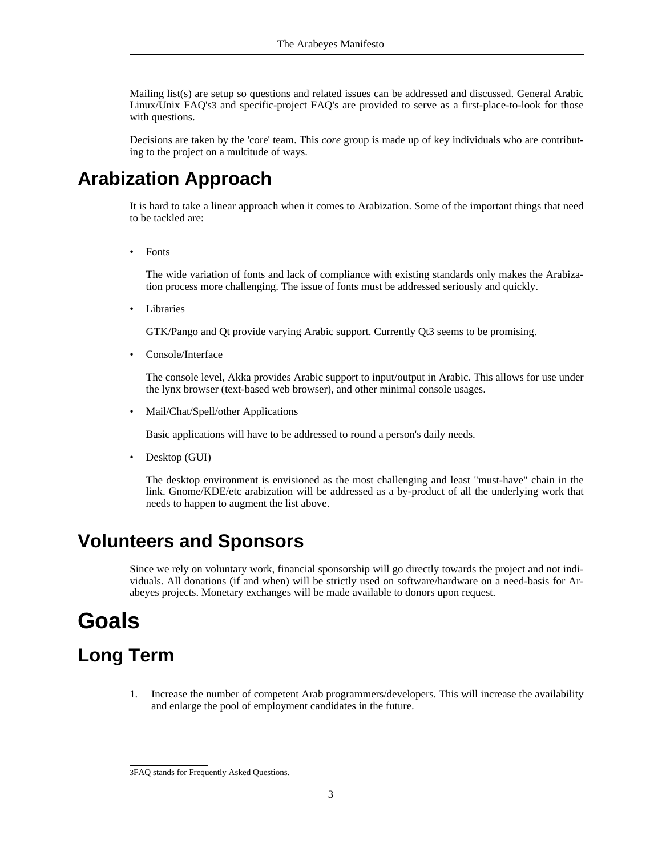Mailing list(s) are setup so questions and related issues can be addressed and discussed. General Arabic Linux/Unix FAQ's3 and specific-project FAQ's are provided to serve as a first-place-to-look for those with questions.

<span id="page-2-0"></span>Decisions are taken by the 'core' team. This *core* group is made up of key individuals who are contributing to the project on a multitude of ways.

### **Arabization Approach**

It is hard to take a linear approach when it comes to Arabization. Some of the important things that need to be tackled are:

**Fonts** 

The wide variation of fonts and lack of compliance with existing standards only makes the Arabization process more challenging. The issue of fonts must be addressed seriously and quickly.

**Libraries** 

GTK/Pango and Qt provide varying Arabic support. Currently Qt3 seems to be promising.

• Console/Interface

The console level, Akka provides Arabic support to input/output in Arabic. This allows for use under the lynx browser (text-based web browser), and other minimal console usages.

• Mail/Chat/Spell/other Applications

Basic applications will have to be addressed to round a person's daily needs.

• Desktop (GUI)

<span id="page-2-1"></span>The desktop environment is envisioned as the most challenging and least "must-have" chain in the link. Gnome/KDE/etc arabization will be addressed as a by-product of all the underlying work that needs to happen to augment the list above.

#### **Volunteers and Sponsors**

<span id="page-2-2"></span>Since we rely on voluntary work, financial sponsorship will go directly towards the project and not individuals. All donations (if and when) will be strictly used on software/hardware on a need-basis for Arabeyes projects. Monetary exchanges will be made available to donors upon request.

## **Goals**

## <span id="page-2-3"></span>**Long Term**

1. Increase the number of competent Arab programmers/developers. This will increase the availability and enlarge the pool of employment candidates in the future.

<sup>3</sup>FAQ stands for Frequently Asked Questions.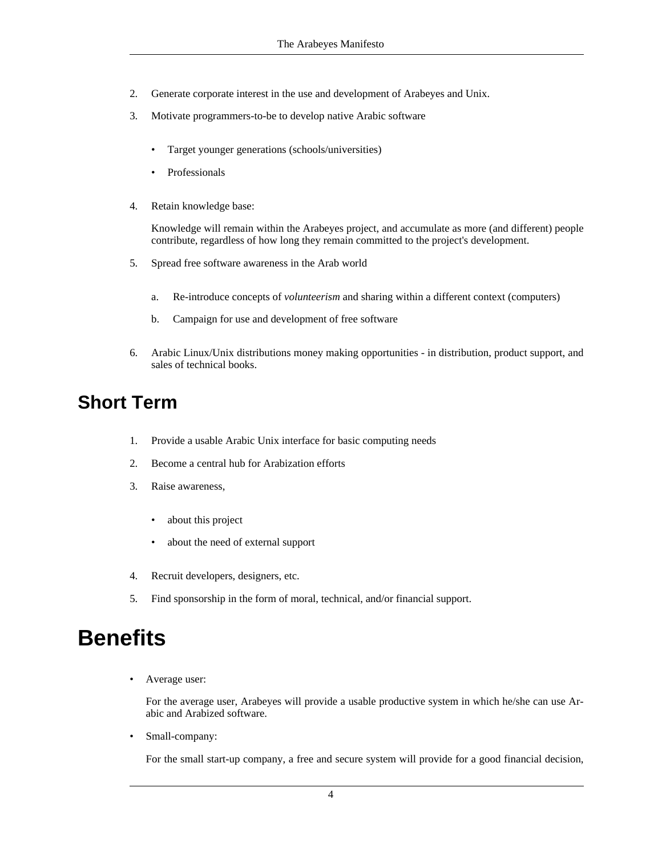- 2. Generate corporate interest in the use and development of Arabeyes and Unix.
- 3. Motivate programmers-to-be to develop native Arabic software
	- Target younger generations (schools/universities)
	- Professionals
- 4. Retain knowledge base:

Knowledge will remain within the Arabeyes project, and accumulate as more (and different) people contribute, regardless of how long they remain committed to the project's development.

- 5. Spread free software awareness in the Arab world
	- a. Re-introduce concepts of *volunteerism* and sharing within a different context (computers)
	- b. Campaign for use and development of free software
- <span id="page-3-0"></span>6. Arabic Linux/Unix distributions money making opportunities - in distribution, product support, and sales of technical books.

#### **Short Term**

- 1. Provide a usable Arabic Unix interface for basic computing needs
- 2. Become a central hub for Arabization efforts
- 3. Raise awareness,
	- about this project
	- about the need of external support
- 4. Recruit developers, designers, etc.
- <span id="page-3-1"></span>5. Find sponsorship in the form of moral, technical, and/or financial support.

## **Benefits**

Average user:

For the average user, Arabeyes will provide a usable productive system in which he/she can use Arabic and Arabized software.

Small-company:

For the small start-up company, a free and secure system will provide for a good financial decision,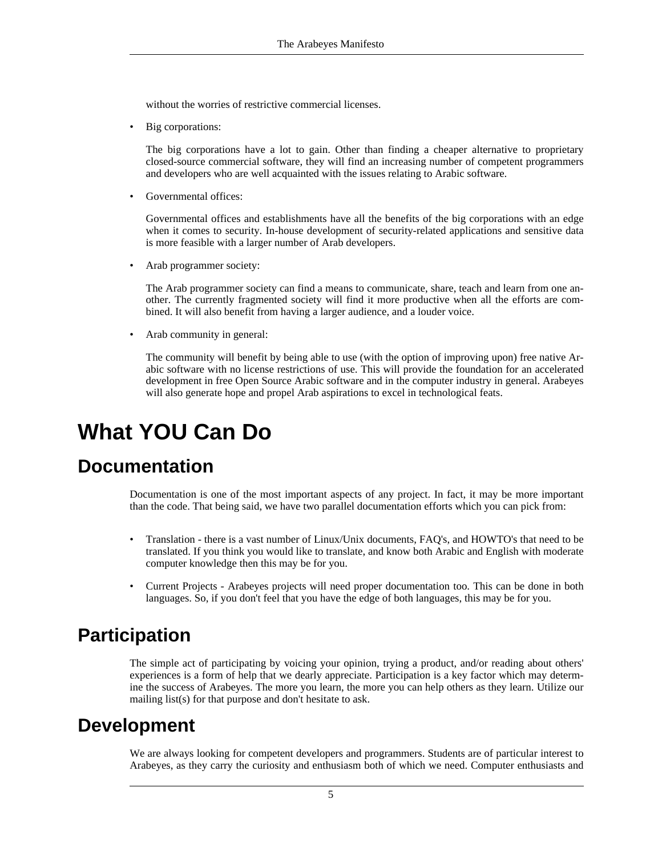without the worries of restrictive commercial licenses.

Big corporations:

The big corporations have a lot to gain. Other than finding a cheaper alternative to proprietary closed-source commercial software, they will find an increasing number of competent programmers and developers who are well acquainted with the issues relating to Arabic software.

Governmental offices:

Governmental offices and establishments have all the benefits of the big corporations with an edge when it comes to security. In-house development of security-related applications and sensitive data is more feasible with a larger number of Arab developers.

• Arab programmer society:

The Arab programmer society can find a means to communicate, share, teach and learn from one another. The currently fragmented society will find it more productive when all the efforts are combined. It will also benefit from having a larger audience, and a louder voice.

• Arab community in general:

The community will benefit by being able to use (with the option of improving upon) free native Arabic software with no license restrictions of use. This will provide the foundation for an accelerated development in free Open Source Arabic software and in the computer industry in general. Arabeyes will also generate hope and propel Arab aspirations to excel in technological feats.

## <span id="page-4-0"></span>**What YOU Can Do**

#### **Documentation**

<span id="page-4-1"></span>Documentation is one of the most important aspects of any project. In fact, it may be more important than the code. That being said, we have two parallel documentation efforts which you can pick from:

- Translation there is a vast number of Linux/Unix documents, FAQ's, and HOWTO's that need to be translated. If you think you would like to translate, and know both Arabic and English with moderate computer knowledge then this may be for you.
- <span id="page-4-2"></span>• Current Projects - Arabeyes projects will need proper documentation too. This can be done in both languages. So, if you don't feel that you have the edge of both languages, this may be for you.

### **Participation**

<span id="page-4-3"></span>The simple act of participating by voicing your opinion, trying a product, and/or reading about others' experiences is a form of help that we dearly appreciate. Participation is a key factor which may determine the success of Arabeyes. The more you learn, the more you can help others as they learn. Utilize our mailing list(s) for that purpose and don't hesitate to ask.

#### **Development**

We are always looking for competent developers and programmers. Students are of particular interest to Arabeyes, as they carry the curiosity and enthusiasm both of which we need. Computer enthusiasts and